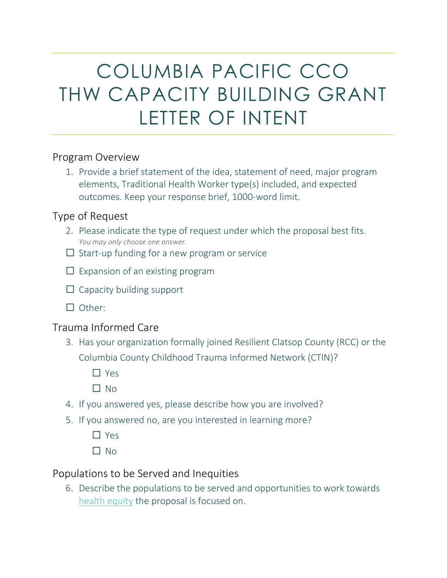# COLUMBIA PACIFIC CCO THW CAPACITY BUILDING GRANT LETTER OF INTENT

### Program Overview

1. Provide a brief statement of the idea, statement of need, major program elements, Traditional Health Worker type(s) included, and expected outcomes. Keep your response brief, 1000-word limit.

### Type of Request

- 2. Please indicate the type of request under which the proposal best fits. *You may only choose one answer.*
- $\Box$  Start-up funding for a new program or service
- $\Box$  Expansion of an existing program
- $\Box$  Capacity building support
- $\Box$  Other:

### Trauma Informed Care

- 3. Has your organization formally joined Resilient Clatsop County (RCC) or the Columbia County Childhood Trauma Informed Network (CTIN)?
	- □ Yes
	- $\Box$  No
- 4. If you answered yes, please describe how you are involved?
- 5. If you answered no, are you interested in learning more?
	- $\Box$  Yes
	- $\Box$  No

### Populations to be Served and Inequities

6. Describe the populations to be served and opportunities to work towards [health equity](https://www.healthaffairs.org/do/10.1377/hblog20170622.060710/full/) the proposal is focused on.